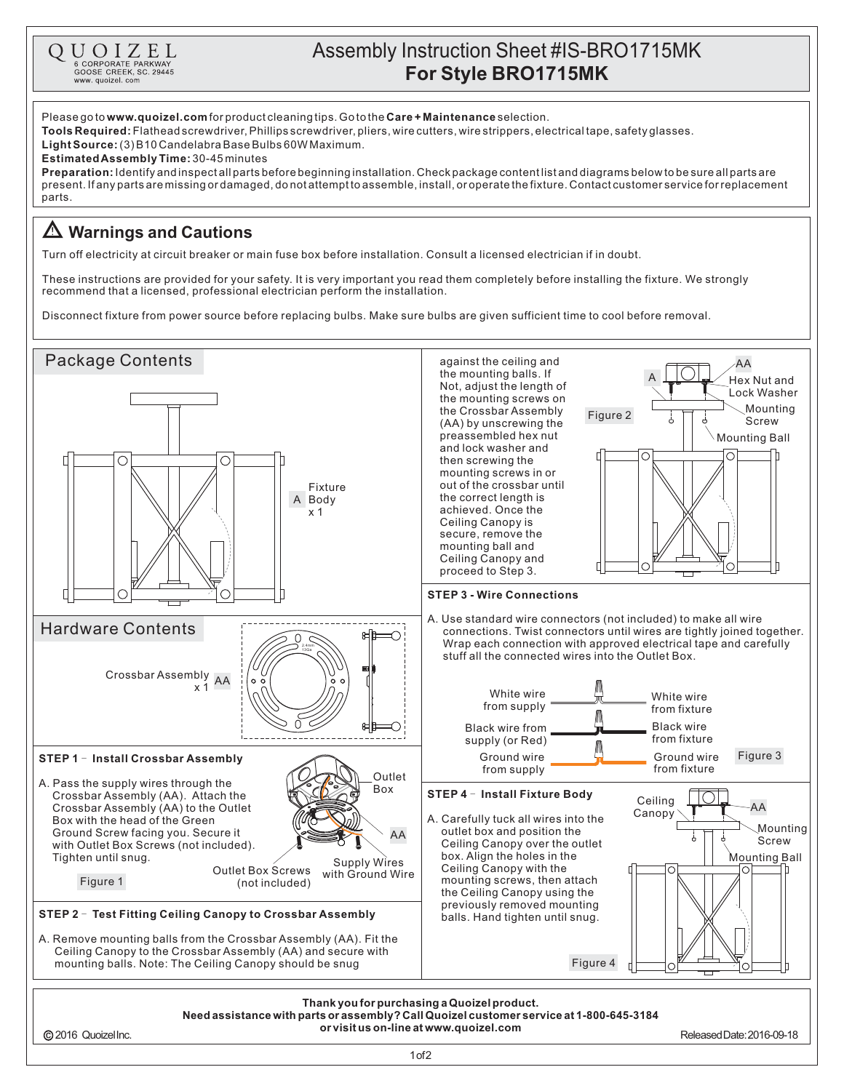

## Assembly Instruction Sheet #IS-BRO1715MK **For Style BRO1715MK**

Please go to www.quoizel.com for product cleaning tips. Go to the Care + Maintenance selection. **Tools Required:** Flathead screwdriver, Phillips screwdriver, pliers, wire cutters, wire strippers, electrical tape, safety glasses. (3)B10CandelabraBaseBulbs60WMaximum. **LightSource: Estimated Assembly Time:** 30-45 minutes Identifyandinspectallpartsbeforebeginninginstallation.Checkpackagecontentlistanddiagramsbelowtobesureallpartsare **Preparation:** present.Ifanypartsaremissingordamaged,donotattempttoassemble,install,oroperatethefixture.Contactcustomerserviceforreplacement parts. **Warnings and Cautions** Turn off electricity at circuit breaker or main fuse box before installation. Consult a licensed electrician if in doubt. These instructions are provided for your safety. It is very important you read them completely before installing the fixture. We strongly recommend that a licensed, professional electrician perform the installation. Disconnect fixture from power source before replacing bulbs. Make sure bulbs are given sufficient time to cool before removal. Package Contents against the ceiling and AA the mounting balls. If A Hex Nut and Not, adjust the length of Lock Washer the mounting screws on Mounting the Crossbar Assembly Figure 2 Screw (AA) by unscrewing the preassembled hex nut Mounting Ball and lock washer and  $\bigcap$ C then screwing the mounting screws in or out of the crossbar until Fixture the correct length is A Body achieved. Once the x 1 Ceiling Canopy is secure, remove the mounting ball and Ceiling Canopy and proceed to Step 3. **STEP 3 - Wire Connections** ⌒ A. Use standard wire connectors (not included) to make all wire Hardware Contents connections. Twist connectors until wires are tightly joined together. ∩ Wrap each connection with approved electrical tape and carefully 2.4mm 13Ga stuff all the connected wires into the Outlet Box. AA Crossbar Assembly x 1 White wire White wire from supply from fixture  $\cap$ Black wire ъÞ Black wire from from fixture supply (or Red) M Ground wire Ground wire Figure 3 **STEP 1 - Install Crossbar Assembly** from supply from fixture Outlet A. Pass the supply wires through the Box Crossbar Assembly (AA). Attach the **STEP 4 - Install Fixture Body**  $\overline{\circ}$ Ceiling Crossbar Assembly (AA) to the Outlet AA Canopy A. Carefully tuck all wires into the Box with the head of the Green Mounting outlet box and position the Ground Screw facing you. Secure it AA á Screw Ceiling Canopy over the outlet with Outlet Box Screws (not included). box. Align the holes in the Tighten until snug. Company Supply Wires Mounting Ball Ceiling Canopy with the Outlet Box Screws ◯ with Ground Wire Figure 1 mounting screws, then attach (not included) the Ceiling Canopy using the previously removed mounting **STEP 2 - Test Fitting Ceiling Canopy to Crossbar Assembly** balls. Hand tighten until snug. A. Remove mounting balls from the Crossbar Assembly (AA). Fit the Ceiling Canopy to the Crossbar Assembly (AA) and secure with mounting balls. Note: The Ceiling Canopy should be snug Figure 4 **Thank youfor purchasinga Quoizelproduct. Needassistance withparts or assembly?CallQuoizelcustomer service at 1-800-645-3184 or visit us on-line at www.quoizel.com**2016 QuoizelInc. ReleasedDate:2016-09-18 1of2